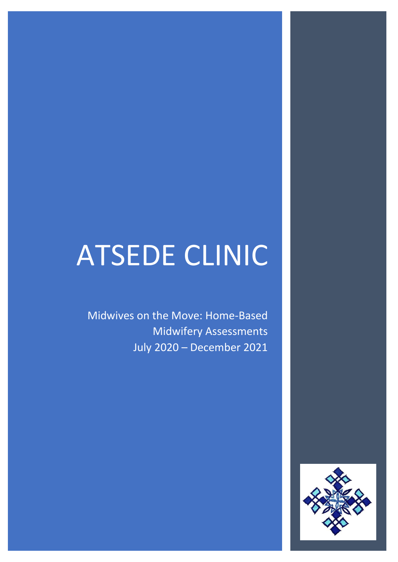# ATSEDE CLINIC

Midwives on the Move: Home-Based Midwifery Assessments July 2020 – December 2021

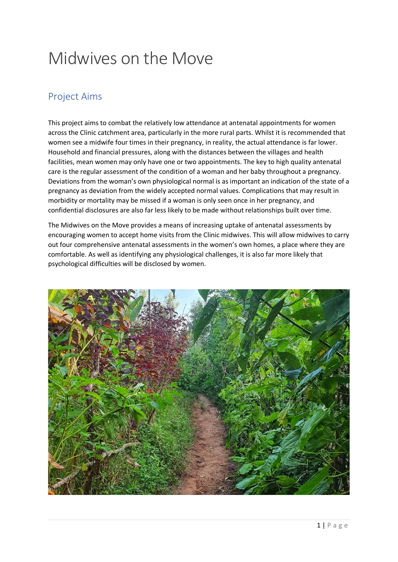## Midwives on the Move

#### Project Aims

This project aims to combat the relatively low attendance at antenatal appointments for women across the Clinic catchment area, particularly in the more rural parts. Whilst it is recommended that women see a midwife four times in their pregnancy, in reality, the actual attendance is far lower. Household and financial pressures, along with the distances between the villages and health facilities, mean women may only have one or two appointments. The key to high quality antenatal care is the regular assessment of the condition of a woman and her baby throughout a pregnancy. Deviations from the woman's own physiological normal is as important an indication of the state of a pregnancy as deviation from the widely accepted normal values. Complications that may result in morbidity or mortality may be missed if a woman is only seen once in her pregnancy, and confidential disclosures are also far less likely to be made without relationships built over time.

The Midwives on the Move provides a means of increasing uptake of antenatal assessments by encouraging women to accept home visits from the Clinic midwives. This will allow midwives to carry out four comprehensive antenatal assessments in the women's own homes, a place where they are comfortable. As well as identifying any physiological challenges, it is also far more likely that psychological difficulties will be disclosed by women.

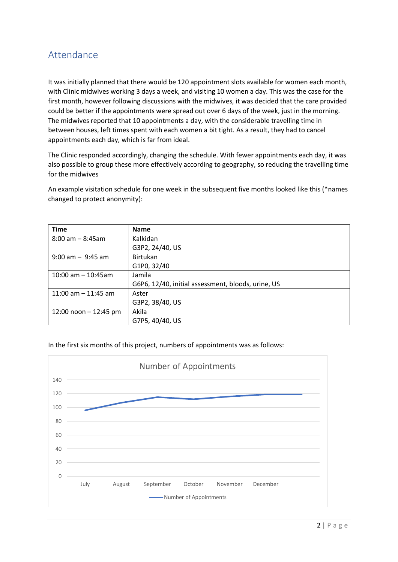#### Attendance

It was initially planned that there would be 120 appointment slots available for women each month, with Clinic midwives working 3 days a week, and visiting 10 women a day. This was the case for the first month, however following discussions with the midwives, it was decided that the care provided could be better if the appointments were spread out over 6 days of the week, just in the morning. The midwives reported that 10 appointments a day, with the considerable travelling time in between houses, left times spent with each women a bit tight. As a result, they had to cancel appointments each day, which is far from ideal.

The Clinic responded accordingly, changing the schedule. With fewer appointments each day, it was also possible to group these more effectively according to geography, so reducing the travelling time for the midwives

An example visitation schedule for one week in the subsequent five months looked like this (\*names changed to protect anonymity):

| <b>Time</b>             | <b>Name</b>                                        |
|-------------------------|----------------------------------------------------|
| $8:00$ am $-8:45$ am    | Kalkidan                                           |
|                         | G3P2, 24/40, US                                    |
| $9:00$ am $-9:45$ am    | <b>Birtukan</b>                                    |
|                         | G1P0, 32/40                                        |
| $10:00$ am $- 10:45$ am | Jamila                                             |
|                         | G6P6, 12/40, initial assessment, bloods, urine, US |
| 11:00 am $-$ 11:45 am   | Aster                                              |
|                         | G3P2, 38/40, US                                    |
| 12:00 noon $-$ 12:45 pm | Akila                                              |
|                         | G7P5, 40/40, US                                    |

In the first six months of this project, numbers of appointments was as follows:

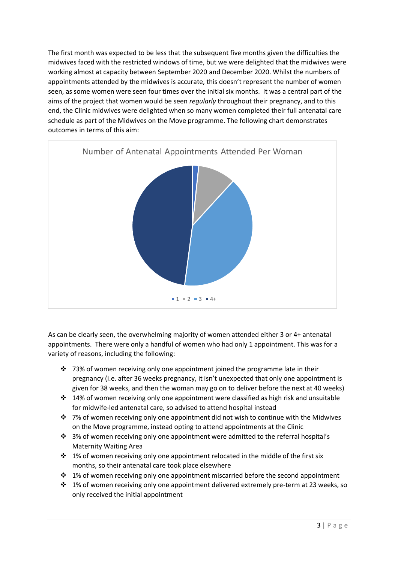The first month was expected to be less that the subsequent five months given the difficulties the midwives faced with the restricted windows of time, but we were delighted that the midwives were working almost at capacity between September 2020 and December 2020. Whilst the numbers of appointments attended by the midwives is accurate, this doesn't represent the number of women seen, as some women were seen four times over the initial six months. It was a central part of the aims of the project that women would be seen *regularly* throughout their pregnancy, and to this end, the Clinic midwives were delighted when so many women completed their full antenatal care schedule as part of the Midwives on the Move programme. The following chart demonstrates outcomes in terms of this aim:



As can be clearly seen, the overwhelming majority of women attended either 3 or 4+ antenatal appointments. There were only a handful of women who had only 1 appointment. This was for a variety of reasons, including the following:

- $\dots$  73% of women receiving only one appointment joined the programme late in their pregnancy (i.e. after 36 weeks pregnancy, it isn't unexpected that only one appointment is given for 38 weeks, and then the woman may go on to deliver before the next at 40 weeks)
- ❖ 14% of women receiving only one appointment were classified as high risk and unsuitable for midwife-led antenatal care, so advised to attend hospital instead
- $\dots$  7% of women receiving only one appointment did not wish to continue with the Midwives on the Move programme, instead opting to attend appointments at the Clinic
- $\cdot$  3% of women receiving only one appointment were admitted to the referral hospital's Maternity Waiting Area
- $\cdot \cdot$  1% of women receiving only one appointment relocated in the middle of the first six months, so their antenatal care took place elsewhere
- ❖ 1% of women receiving only one appointment miscarried before the second appointment
- ❖ 1% of women receiving only one appointment delivered extremely pre-term at 23 weeks, so only received the initial appointment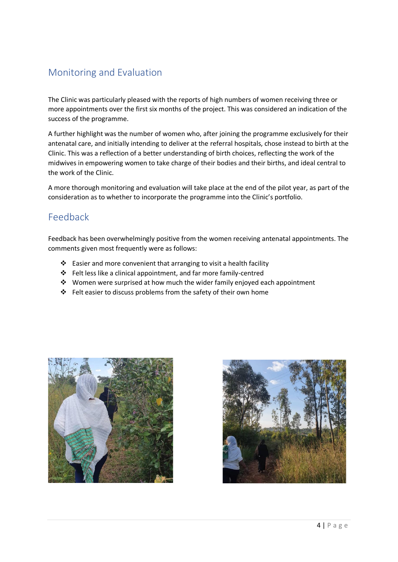### Monitoring and Evaluation

The Clinic was particularly pleased with the reports of high numbers of women receiving three or more appointments over the first six months of the project. This was considered an indication of the success of the programme.

A further highlight was the number of women who, after joining the programme exclusively for their antenatal care, and initially intending to deliver at the referral hospitals, chose instead to birth at the Clinic. This was a reflection of a better understanding of birth choices, reflecting the work of the midwives in empowering women to take charge of their bodies and their births, and ideal central to the work of the Clinic.

A more thorough monitoring and evaluation will take place at the end of the pilot year, as part of the consideration as to whether to incorporate the programme into the Clinic's portfolio.

#### Feedback

Feedback has been overwhelmingly positive from the women receiving antenatal appointments. The comments given most frequently were as follows:

- ❖ Easier and more convenient that arranging to visit a health facility
- ❖ Felt less like a clinical appointment, and far more family-centred
- ❖ Women were surprised at how much the wider family enjoyed each appointment
- ❖ Felt easier to discuss problems from the safety of their own home